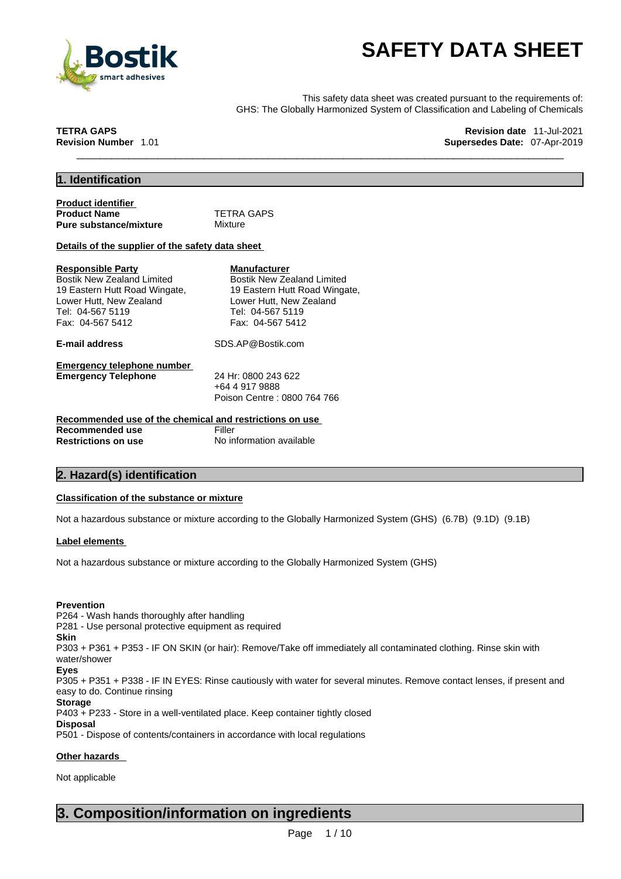

**SAFETY DATA SHEET**<br>
Finis safety data sheet was created pursuant to the requirements of:<br>
CHS: The Globally Harmonized System of Classification and Labeling of Chemicals<br>
RA GAPS<br>
Revision date 11-Jul-2021<br>
Supersedes Dat This safety data sheet was created pursuant to the requirements of: GHS: The Globally Harmonized System of Classification and Labeling of Chemicals

**TETRA GAPS** Revision date  $11$ -Jul-2021 **Revision Number** 1.01 **Supersedes Date:** 07-Apr-2019

### **1. Identification**

| <b>Product identifier</b>     |            |  |
|-------------------------------|------------|--|
| <b>Product Name</b>           | TETRA GAPS |  |
| <b>Pure substance/mixture</b> | Mixture    |  |

#### **Details of the supplier of the safety data sheet**

| <b>Responsible Party</b>                                | <b>Manufacturer</b>               |
|---------------------------------------------------------|-----------------------------------|
| Bostik New Zealand Limited                              | <b>Bostik New Zealand Limited</b> |
| 19 Eastern Hutt Road Wingate,                           | 19 Eastern Hutt Road Wingate,     |
| Lower Hutt, New Zealand                                 | Lower Hutt, New Zealand           |
| Tel: 04-567 5119                                        | Tel: 04-567 5119                  |
| Fax: 04-567 5412                                        | Fax: 04-567 5412                  |
| E-mail address                                          | SDS.AP@Bostik.com                 |
| Emergency telephone number                              |                                   |
| <b>Emergency Telephone</b>                              | 24 Hr: 0800 243 622               |
|                                                         | +64 4 917 9888                    |
|                                                         | Poison Centre: 0800 764 766       |
| Recommended use of the chemical and restrictions on use |                                   |
| Recommended use                                         | Filler                            |
| <b>Restrictions on use</b>                              | No information available          |

### **2. Hazard(s) identification**

#### **Classification of the substance or mixture**

Not a hazardous substance or mixture according to the Globally Harmonized System (GHS) (6.7B) (9.1D) (9.1B)

#### **Label elements**

Not a hazardous substance or mixture according to the Globally Harmonized System (GHS)

#### **Prevention**

P264 - Wash hands thoroughly after handling

P281 - Use personal protective equipment as required

**Skin**

P303 + P361 + P353 - IF ON SKIN (or hair): Remove/Take off immediately all contaminated clothing. Rinse skin with water/shower

#### **Eyes**

P305 + P351 + P338 - IF IN EYES: Rinse cautiously with water for several minutes. Remove contact lenses, if present and easy to do. Continue rinsing

#### **Storage**

P403 + P233 - Store in a well-ventilated place. Keep container tightly closed

### **Disposal**

P501 - Dispose of contents/containers in accordance with local regulations

### **Other hazards**

Not applicable

## **3. Composition/information on ingredients**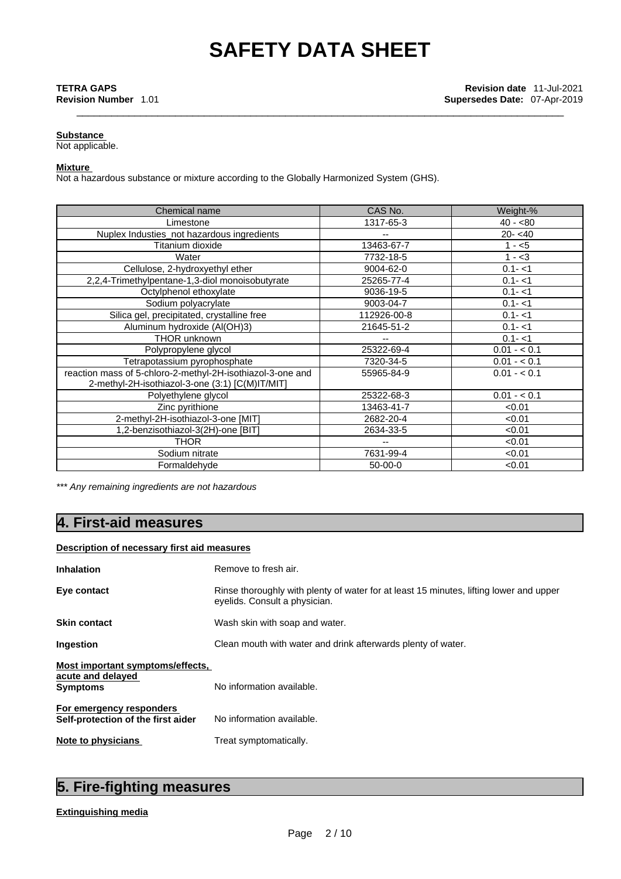### **Substance**

Not applicable.

#### **Mixture**

Not a hazardous substance or mixture according to the Globally Harmonized System (GHS).

| Chemical name                                                                                                 | CAS No.                  | Weight-%     |
|---------------------------------------------------------------------------------------------------------------|--------------------------|--------------|
| Limestone                                                                                                     | 1317-65-3                | $40 - 80$    |
| Nuplex Industies_not hazardous ingredients                                                                    | $\overline{\phantom{a}}$ | $20 - 40$    |
| Titanium dioxide                                                                                              | 13463-67-7               | $1 - 5$      |
| Water                                                                                                         | 7732-18-5                | $1 - 3$      |
| Cellulose, 2-hydroxyethyl ether                                                                               | 9004-62-0                | $0.1 - 1$    |
| 2,2,4-Trimethylpentane-1,3-diol monoisobutyrate                                                               | 25265-77-4               | $0.1 - 1$    |
| Octylphenol ethoxylate                                                                                        | 9036-19-5                | $0.1 - 1$    |
| Sodium polyacrylate                                                                                           | 9003-04-7                | $0.1 - 1$    |
| Silica gel, precipitated, crystalline free                                                                    | 112926-00-8              | $0.1 - 1$    |
| Aluminum hydroxide (Al(OH)3)                                                                                  | 21645-51-2               | $0.1 - 1$    |
| <b>THOR unknown</b>                                                                                           | --                       | $0.1 - 1$    |
| Polypropylene glycol                                                                                          | 25322-69-4               | $0.01 - 0.1$ |
| Tetrapotassium pyrophosphate                                                                                  | 7320-34-5                | $0.01 - 0.1$ |
| reaction mass of 5-chloro-2-methyl-2H-isothiazol-3-one and<br>2-methyl-2H-isothiazol-3-one (3:1) [C(M)IT/MIT] | 55965-84-9               | $0.01 - 0.1$ |
| Polyethylene glycol                                                                                           | 25322-68-3               | $0.01 - 0.1$ |
| Zinc pyrithione                                                                                               | 13463-41-7               | < 0.01       |
| 2-methyl-2H-isothiazol-3-one [MIT]                                                                            | 2682-20-4                | < 0.01       |
| 1,2-benzisothiazol-3(2H)-one [BIT]                                                                            | 2634-33-5                | < 0.01       |
| <b>THOR</b>                                                                                                   | $\overline{\phantom{a}}$ | < 0.01       |
| Sodium nitrate                                                                                                | 7631-99-4                | < 0.01       |
| Formaldehyde                                                                                                  | $50-00-0$                | < 0.01       |

*\*\*\* Any remaining ingredients are not hazardous* 

# **4. First-aid measures**

#### **Description of necessary first aid measures**

| <b>Inhalation</b>                                                 | Remove to fresh air.                                                                                                    |  |
|-------------------------------------------------------------------|-------------------------------------------------------------------------------------------------------------------------|--|
| Eye contact                                                       | Rinse thoroughly with plenty of water for at least 15 minutes, lifting lower and upper<br>eyelids. Consult a physician. |  |
| <b>Skin contact</b>                                               | Wash skin with soap and water.                                                                                          |  |
| Ingestion                                                         | Clean mouth with water and drink afterwards plenty of water.                                                            |  |
| Most important symptoms/effects,<br>acute and delayed<br>Symptoms | No information available.                                                                                               |  |
| For emergency responders<br>Self-protection of the first aider    | No information available.                                                                                               |  |
| Note to physicians                                                | Treat symptomatically.                                                                                                  |  |

# **5. Fire-fighting measures**

#### **Extinguishing media**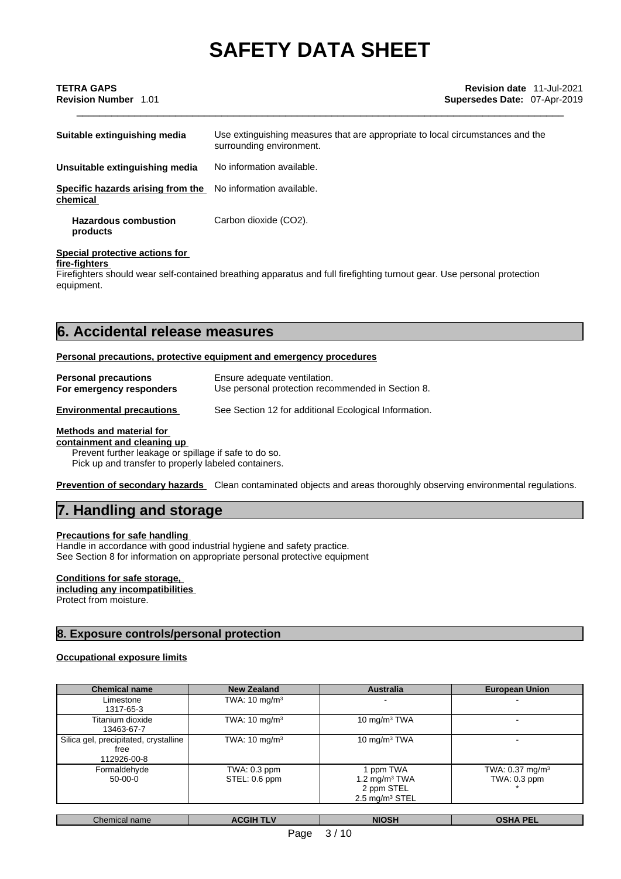| Suitable extinguishing media                  | Use extinguishing measures that are appropriate to local circumstances and the<br>surrounding environment. |
|-----------------------------------------------|------------------------------------------------------------------------------------------------------------|
| Unsuitable extinguishing media                | No information available.                                                                                  |
| Specific hazards arising from the<br>chemical | No information available.                                                                                  |
| <b>Hazardous combustion</b><br>products       | Carbon dioxide (CO2).                                                                                      |

### **Special protective actions for**

**fire-fighters**

Firefighters should wear self-contained breathing apparatus and full firefighting turnout gear. Use personal protection equipment.

## **6. Accidental release measures**

#### **Personal precautions, protective equipment and emergency procedures**

| <b>Personal precautions</b>      | Ensure adequate ventilation.                          |
|----------------------------------|-------------------------------------------------------|
| For emergency responders         | Use personal protection recommended in Section 8.     |
| <b>Environmental precautions</b> | See Section 12 for additional Ecological Information. |

#### **Methods and material for**

**containment and cleaning up** Prevent further leakage or spillage if safe to do so.

Pick up and transfer to properly labeled containers.

**Prevention of secondary hazards** Clean contaminated objects and areas thoroughly observing environmental regulations.

## **7. Handling and storage**

#### **Precautions for safe handling**

Handle in accordance with good industrial hygiene and safety practice. See Section 8 for information on appropriate personal protective equipment

#### **Conditions for safe storage,**

**including any incompatibilities** Protect from moisture.

### **8. Exposure controls/personal protection**

#### **Occupational exposure limits**

| <b>Chemical name</b>                                         | <b>New Zealand</b>            | <b>Australia</b>                                                       | <b>European Union</b>                      |
|--------------------------------------------------------------|-------------------------------|------------------------------------------------------------------------|--------------------------------------------|
| Limestone<br>1317-65-3                                       | TWA: $10 \text{ mg/m}^3$      |                                                                        |                                            |
| Titanium dioxide<br>13463-67-7                               | TWA: $10 \text{ mg/m}^3$      | 10 mg/m $3$ TWA                                                        |                                            |
| Silica gel, precipitated, crystalline<br>free<br>112926-00-8 | TWA: $10 \text{ mg/m}^3$      | 10 mg/m $3$ TWA                                                        |                                            |
| Formaldehyde<br>$50-00-0$                                    | TWA: 0.3 ppm<br>STEL: 0.6 ppm | ppm TWA<br>1.2 mg/m $3$ TWA<br>2 ppm STEL<br>$2.5 \text{ mg/m}^3$ STEL | TWA: $0.37 \text{ mg/m}^3$<br>TWA: 0.3 ppm |

| Chemical name | <b>CGIH TLV</b><br>АL | <b>NIOSH</b> | <b>OSHA</b><br><b>DEL</b><br>--- |
|---------------|-----------------------|--------------|----------------------------------|
|               |                       |              |                                  |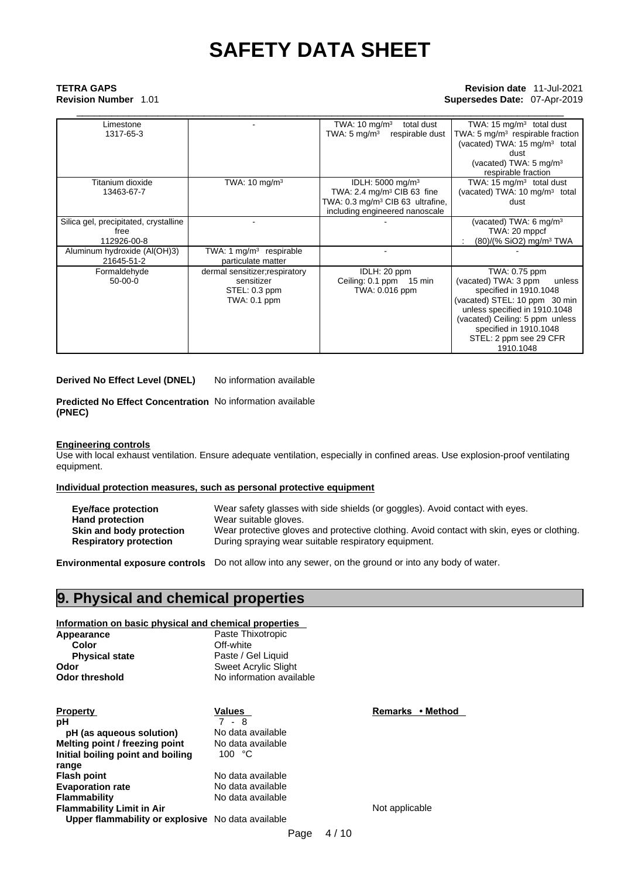## \_\_\_\_\_\_\_\_\_\_\_\_\_\_\_\_\_\_\_\_\_\_\_\_\_\_\_\_\_\_\_\_\_\_\_\_\_\_\_\_\_\_\_\_\_\_\_\_\_\_\_\_\_\_\_\_\_\_\_\_\_\_\_\_\_\_\_\_\_\_\_\_\_\_\_\_\_\_\_\_\_\_\_\_ **TETRA GAPS Revision date** 11-Jul-2021 **Revision Number** 1.01 **Supersedes Date:** 07-Apr-2019

| Limestone                             |                                | TWA: $10 \text{ mg/m}^3$<br>total dust       | TWA: 15 $mg/m3$ total dust                |
|---------------------------------------|--------------------------------|----------------------------------------------|-------------------------------------------|
| 1317-65-3                             |                                | TWA: $5 \text{ mg/m}^3$<br>respirable dust   | TWA: 5 $mg/m3$ respirable fraction        |
|                                       |                                |                                              | (vacated) TWA: 15 mg/m <sup>3</sup> total |
|                                       |                                |                                              | dust                                      |
|                                       |                                |                                              | (vacated) TWA: $5 \text{ mg/m}^3$         |
|                                       |                                |                                              | respirable fraction                       |
| Titanium dioxide                      | TWA: $10 \text{ mg/m}^3$       | IDLH: $5000 \text{ mg/m}^3$                  | TWA: 15 $mg/m3$ total dust                |
| 13463-67-7                            |                                | TWA: 2.4 mg/m <sup>3</sup> CIB 63 fine       | (vacated) TWA: 10 mg/m <sup>3</sup> total |
|                                       |                                | TWA: 0.3 mg/m <sup>3</sup> CIB 63 ultrafine, | dust                                      |
|                                       |                                | including engineered nanoscale               |                                           |
| Silica gel, precipitated, crystalline |                                |                                              | (vacated) TWA: 6 mg/m <sup>3</sup>        |
| free                                  |                                |                                              | TWA: 20 mppcf                             |
| 112926-00-8                           |                                |                                              | (80)/(% SiO2) mg/m <sup>3</sup> TWA       |
| Aluminum hydroxide (Al(OH)3)          | TWA: 1 mg/m $3$ respirable     |                                              |                                           |
| 21645-51-2                            | particulate matter             |                                              |                                           |
| Formaldehyde                          | dermal sensitizer; respiratory | IDLH: 20 ppm                                 | TWA: 0.75 ppm                             |
| $50-00-0$                             | sensitizer                     | Ceiling: 0.1 ppm 15 min                      | (vacated) TWA: 3 ppm<br>unless            |
|                                       | STEL: 0.3 ppm                  | TWA: 0.016 ppm                               | specified in 1910.1048                    |
|                                       | TWA: 0.1 ppm                   |                                              | (vacated) STEL: 10 ppm 30 min             |
|                                       |                                |                                              | unless specified in 1910.1048             |
|                                       |                                |                                              | (vacated) Ceiling: 5 ppm unless           |
|                                       |                                |                                              | specified in 1910.1048                    |
|                                       |                                |                                              | STEL: 2 ppm see 29 CFR                    |
|                                       |                                |                                              | 1910.1048                                 |

**Derived No Effect Level (DNEL)** No information available

**Predicted No Effect Concentration** No information available **(PNEC)** 

#### **Engineering controls**

Use with local exhaust ventilation. Ensure adequate ventilation, especially in confined areas. Use explosion-proof ventilating equipment.

#### **Individual protection measures, such as personal protective equipment**

| <b>Eye/face protection</b>    | Wear safety glasses with side shields (or goggles). Avoid contact with eyes.               |
|-------------------------------|--------------------------------------------------------------------------------------------|
| <b>Hand protection</b>        | Wear suitable gloves.                                                                      |
| Skin and body protection      | Wear protective gloves and protective clothing. Avoid contact with skin, eyes or clothing. |
| <b>Respiratory protection</b> | During spraying wear suitable respiratory equipment.                                       |

**Environmental exposure controls** Do not allow into any sewer, on the ground or into any body of water.

## **9. Physical and chemical properties**

#### **Information on basic physical and chemical properties**

| Appearance            | Paste Thixotropic        |  |
|-----------------------|--------------------------|--|
| Color                 | Off-white                |  |
| <b>Physical state</b> | Paste / Gel Liquid       |  |
| Odor                  | Sweet Acrylic Slight     |  |
| Odor threshold        | No information available |  |
|                       |                          |  |

| <b>Property</b>                                   | Values            | Remarks • Method |
|---------------------------------------------------|-------------------|------------------|
| рH                                                | 7 - 8             |                  |
| pH (as aqueous solution)                          | No data available |                  |
| Melting point / freezing point                    | No data available |                  |
| Initial boiling point and boiling                 | 100 $°C$          |                  |
| range                                             |                   |                  |
| <b>Flash point</b>                                | No data available |                  |
| <b>Evaporation rate</b>                           | No data available |                  |
| Flammability                                      | No data available |                  |
| <b>Flammability Limit in Air</b>                  |                   | Not applicable   |
| Upper flammability or explosive No data available |                   |                  |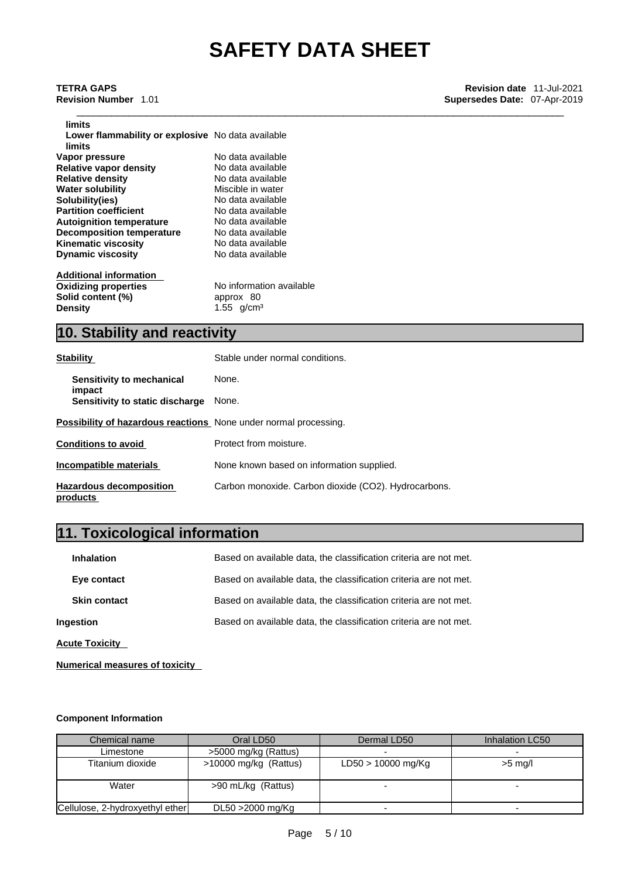| limits                                                      |                          |
|-------------------------------------------------------------|--------------------------|
| Lower flammability or explosive No data available<br>limits |                          |
| Vapor pressure                                              | No data available        |
| <b>Relative vapor density</b>                               | No data available        |
| <b>Relative density</b>                                     | No data available        |
| Water solubility                                            | Miscible in water        |
| Solubility(ies)                                             | No data available        |
| <b>Partition coefficient</b>                                | No data available        |
| <b>Autoignition temperature</b>                             | No data available        |
| <b>Decomposition temperature</b>                            | No data available        |
| Kinematic viscosity                                         | No data available        |
| <b>Dynamic viscosity</b>                                    | No data available        |
| <b>Additional information</b>                               |                          |
| Oxidizing properties                                        | No information available |
| $R$ alid aantant $10/1$                                     | annroy 90                |

**Solid content (%)**<br> **Density** approx 80<br> **Density** 1.55 g/cm

 $1.55$  g/cm<sup>3</sup>

# **10. Stability and reactivity**

| <b>Stability</b>                                                        | Stable under normal conditions.                      |
|-------------------------------------------------------------------------|------------------------------------------------------|
| Sensitivity to mechanical<br>impact                                     | None.                                                |
| Sensitivity to static discharge                                         | None.                                                |
| <b>Possibility of hazardous reactions</b> None under normal processing. |                                                      |
| <b>Conditions to avoid</b>                                              | Protect from moisture.                               |
| Incompatible materials                                                  | None known based on information supplied.            |
| <b>Hazardous decomposition</b><br>products                              | Carbon monoxide. Carbon dioxide (CO2). Hydrocarbons. |

# **11. Toxicological information**

| <b>Inhalation</b>     | Based on available data, the classification criteria are not met. |  |
|-----------------------|-------------------------------------------------------------------|--|
| Eye contact           | Based on available data, the classification criteria are not met. |  |
| <b>Skin contact</b>   | Based on available data, the classification criteria are not met. |  |
| Ingestion             | Based on available data, the classification criteria are not met. |  |
| <b>Acute Toxicity</b> |                                                                   |  |

**Numerical measures of toxicity**

#### **Component Information**

| Chemical name                   | Oral LD50             | Dermal LD50          | Inhalation LC50 |
|---------------------------------|-----------------------|----------------------|-----------------|
| Limestone                       | >5000 mg/kg (Rattus)  |                      |                 |
| Titanium dioxide                | >10000 mg/kg (Rattus) | $LD50 > 10000$ mg/Kg | $>5$ mg/l       |
| Water                           | >90 mL/kg (Rattus)    |                      |                 |
| Cellulose, 2-hydroxyethyl ether | DL50 > 2000 mg/Kg     |                      |                 |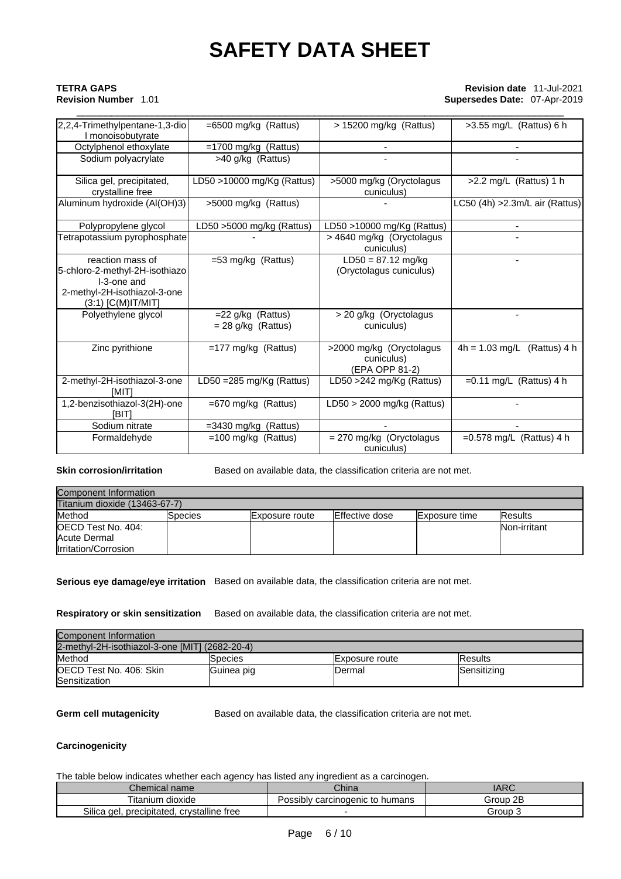## \_\_\_\_\_\_\_\_\_\_\_\_\_\_\_\_\_\_\_\_\_\_\_\_\_\_\_\_\_\_\_\_\_\_\_\_\_\_\_\_\_\_\_\_\_\_\_\_\_\_\_\_\_\_\_\_\_\_\_\_\_\_\_\_\_\_\_\_\_\_\_\_\_\_\_\_\_\_\_\_\_\_\_\_ **TETRA GAPS Revision date** 11-Jul-2021 **Revision Number** 1.01 **Supersedes Date:** 07-Apr-2019

| 2,2,4-Trimethylpentane-1,3-dio                                                                                            | $=6500$ mg/kg (Rattus)                       | > 15200 mg/kg (Rattus)                                   | >3.55 mg/L (Rattus) 6 h         |
|---------------------------------------------------------------------------------------------------------------------------|----------------------------------------------|----------------------------------------------------------|---------------------------------|
| I monoisobutyrate                                                                                                         |                                              |                                                          |                                 |
| Octylphenol ethoxylate                                                                                                    | $=1700$ mg/kg (Rattus)                       |                                                          |                                 |
| Sodium polyacrylate                                                                                                       | >40 g/kg (Rattus)                            |                                                          |                                 |
| Silica gel, precipitated,                                                                                                 | LD50 >10000 mg/Kg (Rattus)                   | >5000 mg/kg (Oryctolagus                                 | $>2.2$ mg/L (Rattus) 1 h        |
| crystalline free                                                                                                          |                                              | cuniculus)                                               |                                 |
| Aluminum hydroxide (Al(OH)3)                                                                                              | >5000 mg/kg (Rattus)                         |                                                          | LC50 (4h) > 2.3m/L air (Rattus) |
| Polypropylene glycol                                                                                                      | LD50 >5000 mg/kg (Rattus)                    | LD50 >10000 mg/Kg (Rattus)                               |                                 |
| Tetrapotassium pyrophosphate                                                                                              |                                              | > 4640 mg/kg (Oryctolagus<br>cuniculus)                  |                                 |
| reaction mass of<br>5-chloro-2-methyl-2H-isothiazo<br>I-3-one and<br>2-methyl-2H-isothiazol-3-one<br>$(3:1)$ [C(M)IT/MIT] | $=53$ mg/kg (Rattus)                         | $LD50 = 87.12$ mg/kg<br>(Oryctolagus cuniculus)          |                                 |
| Polyethylene glycol                                                                                                       | $=$ 22 g/kg (Rattus)<br>$= 28$ g/kg (Rattus) | > 20 g/kg (Oryctolagus<br>cuniculus)                     |                                 |
| Zinc pyrithione                                                                                                           | $=177$ mg/kg (Rattus)                        | >2000 mg/kg (Oryctolagus<br>cuniculus)<br>(EPA OPP 81-2) | $4h = 1.03$ mg/L (Rattus) 4 h   |
| 2-methyl-2H-isothiazol-3-one<br><b>IMITI</b>                                                                              | LD50 = $285$ mg/Kg (Rattus)                  | LD50 >242 mg/Kg (Rattus)                                 | $=0.11$ mg/L (Rattus) 4 h       |
| 1,2-benzisothiazol-3(2H)-one<br>[BIT]                                                                                     | $=670$ mg/kg (Rattus)                        | LD50 > 2000 mg/kg (Rattus)                               |                                 |
| Sodium nitrate                                                                                                            | $=3430$ mg/kg (Rattus)                       |                                                          |                                 |
| Formaldehyde                                                                                                              | $=100$ mg/kg (Rattus)                        | = 270 mg/kg (Oryctolagus<br>cuniculus)                   | $=0.578$ mg/L (Rattus) 4 h      |

**Skin corrosion/irritation** Based on available data, the classification criteria are not met.

| Component Information         |          |                        |                |                      |                 |
|-------------------------------|----------|------------------------|----------------|----------------------|-----------------|
| Titanium dioxide (13463-67-7) |          |                        |                |                      |                 |
| Method                        | lSpecies | <b>IExposure</b> route | Effective dose | <b>Exposure time</b> | <b>IResults</b> |
| <b>IOECD Test No. 404:</b>    |          |                        |                |                      | Non-irritant    |
| Acute Dermal                  |          |                        |                |                      |                 |
| <b>Irritation/Corrosion</b>   |          |                        |                |                      |                 |

**Serious eye damage/eye irritation** Based on available data, the classification criteria are not met.

#### **Respiratory or skin sensitization** Based on available data, the classification criteria are not met.

| Component Information                          |            |                        |                |
|------------------------------------------------|------------|------------------------|----------------|
| 2-methyl-2H-isothiazol-3-one [MIT] (2682-20-4) |            |                        |                |
| Method                                         | Species    | <b>IExposure</b> route | <b>Results</b> |
| IOECD Test No. 406: Skin                       | Guinea pig | Dermal                 | Sensitizing    |
| Sensitization                                  |            |                        |                |

**Germ cell mutagenicity** Based on available data, the classification criteria are not met.

#### **Carcinogenicity**

The table below indicates whether each agency has listed any ingredient as a carcinogen.

| Chemical name                                       | China                                | IARC        |
|-----------------------------------------------------|--------------------------------------|-------------|
| Titanium dioxide                                    | carcinogenic to humans "<br>Possiblv | 2B<br>Group |
| Silica<br>' precipitated, crystalline free<br>≧qel, |                                      | Group 3     |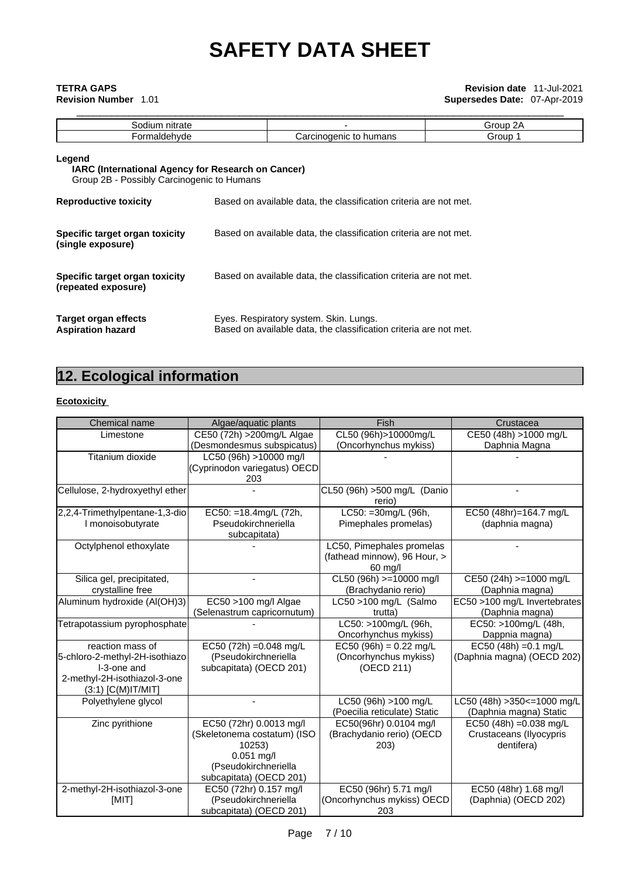# \_\_\_\_\_\_\_\_\_\_\_\_\_\_\_\_\_\_\_\_\_\_\_\_\_\_\_\_\_\_\_\_\_\_\_\_\_\_\_\_\_\_\_\_\_\_\_\_\_\_\_\_\_\_\_\_\_\_\_\_\_\_\_\_\_\_\_\_\_\_\_\_\_\_\_\_\_\_\_\_\_\_\_\_ **TETRA GAPS Revision date** 11-Jul-2021 **Revision Number** 1.01 **Supersedes Date:** 07-Apr-2019

| nitrate<br>dium<br>วเ ม      |                              | 2Α<br>Group |
|------------------------------|------------------------------|-------------|
| rorm <sup>-</sup><br>'dehvde | to<br>Carcinogenic<br>humans | Group       |
|                              |                              |             |

### **Legend IARC (International Agency for Research on Cancer)** Group 2B - Possibly Carcinogenic to Humans **Reproductive toxicity** Based on available data, the classification criteria are not met.

| <b>NEPROMISSIVE COVIDITA</b>                          | Dascu on available data, the classification chilena are not met.                                            |
|-------------------------------------------------------|-------------------------------------------------------------------------------------------------------------|
| Specific target organ toxicity<br>(single exposure)   | Based on available data, the classification criteria are not met.                                           |
| Specific target organ toxicity<br>(repeated exposure) | Based on available data, the classification criteria are not met.                                           |
| Target organ effects<br><b>Aspiration hazard</b>      | Eyes. Respiratory system. Skin. Lungs.<br>Based on available data, the classification criteria are not met. |

# **12. Ecological information**

#### **Ecotoxicity**

| Chemical name                   | Algae/aquatic plants         | Fish                         | Crustacea                     |
|---------------------------------|------------------------------|------------------------------|-------------------------------|
| Limestone                       | CE50 (72h) > 200mg/L Algae   | CL50 (96h)>10000mg/L         | CE50 (48h) >1000 mg/L         |
|                                 | (Desmondesmus subspicatus)   | (Oncorhynchus mykiss)        | Daphnia Magna                 |
| Titanium dioxide                | LC50 (96h) >10000 mg/l       |                              |                               |
|                                 | (Cyprinodon variegatus) OECD |                              |                               |
|                                 | 203                          |                              |                               |
| Cellulose, 2-hydroxyethyl ether |                              | CL50 (96h) >500 mg/L (Danio  |                               |
|                                 |                              | rerio)                       |                               |
| 2,2,4-Trimethylpentane-1,3-dio  | EC50: =18.4mg/L (72h,        | LC50: = 30mg/L (96h,         | EC50 (48hr)=164.7 mg/L        |
| I monoisobutyrate               | Pseudokirchneriella          | Pimephales promelas)         | (daphnia magna)               |
|                                 | subcapitata)                 |                              |                               |
| Octylphenol ethoxylate          |                              | LC50, Pimephales promelas    |                               |
|                                 |                              | (fathead minnow), 96 Hour, > |                               |
|                                 |                              | 60 mg/l                      |                               |
| Silica gel, precipitated,       | ٠                            | CL50 (96h) >=10000 mg/l      | CE50 (24h) >=1000 mg/L        |
| crystalline free                |                              | (Brachydanio rerio)          | (Daphnia magna)               |
| Aluminum hydroxide (Al(OH)3)    | EC50 >100 mg/l Algae         | LC50 >100 mg/L (Salmo        | EC50 >100 mg/L Invertebrates  |
|                                 | (Selenastrum capricornutum)  | trutta)                      | (Daphnia magna)               |
| Tetrapotassium pyrophosphate    |                              | LC50: >100mg/L (96h,         | EC50: >100mg/L (48h,          |
|                                 |                              | Oncorhynchus mykiss)         | Dappnia magna)                |
| reaction mass of                | EC50 (72h) = 0.048 mg/L      | $EC50 (96h) = 0.22$ mg/L     | EC50 (48h) = $0.1$ mg/L       |
| 5-chloro-2-methyl-2H-isothiazo  | (Pseudokirchneriella         | (Oncorhynchus mykiss)        | (Daphnia magna) (OECD 202)    |
| I-3-one and                     | subcapitata) (OECD 201)      | (OECD 211)                   |                               |
| 2-methyl-2H-isothiazol-3-one    |                              |                              |                               |
| $(3:1)$ [C(M)IT/MIT]            |                              |                              |                               |
| Polyethylene glycol             |                              | LC50 (96h) >100 mg/L         | LC50 (48h) > 350 <= 1000 mg/L |
|                                 |                              | (Poecilia reticulate) Static | (Daphnia magna) Static        |
| Zinc pyrithione                 | EC50 (72hr) 0.0013 mg/l      | EC50(96hr) 0.0104 mg/l       | EC50 (48h) = $0.038$ mg/L     |
|                                 | (Skeletonema costatum) (ISO  | (Brachydanio rerio) (OECD    | Crustaceans (Ilyocypris       |
|                                 | 10253)                       | 203)                         | dentifera)                    |
|                                 | $0.051$ mg/l                 |                              |                               |
|                                 | (Pseudokirchneriella         |                              |                               |
|                                 | subcapitata) (OECD 201)      |                              |                               |
| 2-methyl-2H-isothiazol-3-one    | EC50 (72hr) 0.157 mg/l       | EC50 (96hr) 5.71 mg/l        | EC50 (48hr) 1.68 mg/l         |
| [MIT]                           | (Pseudokirchneriella         | (Oncorhynchus mykiss) OECD   | (Daphnia) (OECD 202)          |
|                                 | subcapitata) (OECD 201)      | 203                          |                               |
|                                 |                              |                              |                               |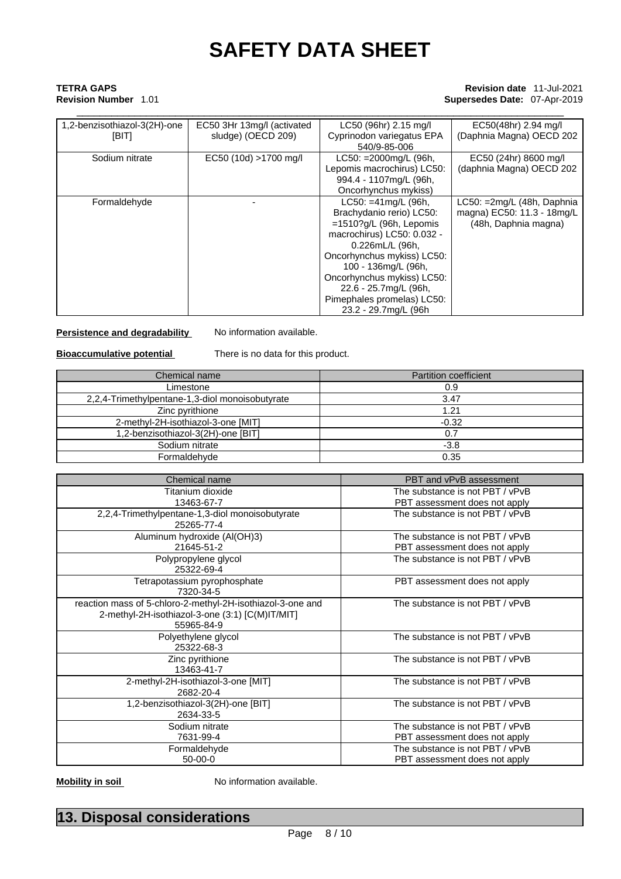## \_\_\_\_\_\_\_\_\_\_\_\_\_\_\_\_\_\_\_\_\_\_\_\_\_\_\_\_\_\_\_\_\_\_\_\_\_\_\_\_\_\_\_\_\_\_\_\_\_\_\_\_\_\_\_\_\_\_\_\_\_\_\_\_\_\_\_\_\_\_\_\_\_\_\_\_\_\_\_\_\_\_\_\_ **TETRA GAPS Revision date** 11-Jul-2021 **Revision Number** 1.01 **Supersedes Date:** 07-Apr-2019

| 1,2-benzisothiazol-3(2H)-one | EC50 3Hr 13mg/l (activated | LC50 (96hr) 2.15 mg/l      | EC50(48hr) 2.94 mg/l       |
|------------------------------|----------------------------|----------------------------|----------------------------|
| [BIT]                        | sludge) (OECD 209)         | Cyprinodon variegatus EPA  | (Daphnia Magna) OECD 202   |
|                              |                            | 540/9-85-006               |                            |
| Sodium nitrate               | EC50 (10d) >1700 mg/l      | LC50: =2000mg/L (96h,      | EC50 (24hr) 8600 mg/l      |
|                              |                            | Lepomis macrochirus) LC50: | (daphnia Magna) OECD 202   |
|                              |                            | 994.4 - 1107mg/L (96h,     |                            |
|                              |                            | Oncorhynchus mykiss)       |                            |
| Formaldehyde                 |                            | $LC50: = 41mg/L (96h,$     | LC50: =2mg/L (48h, Daphnia |
|                              |                            | Brachydanio rerio) LC50:   | magna) EC50: 11.3 - 18mg/L |
|                              |                            | $=1510?g/L$ (96h, Lepomis  | (48h, Daphnia magna)       |
|                              |                            | macrochirus) LC50: 0.032 - |                            |
|                              |                            | 0.226mL/L (96h,            |                            |
|                              |                            | Oncorhynchus mykiss) LC50: |                            |
|                              |                            | 100 - 136mg/L (96h,        |                            |
|                              |                            | Oncorhynchus mykiss) LC50: |                            |
|                              |                            | 22.6 - 25.7mg/L (96h,      |                            |
|                              |                            | Pimephales promelas) LC50: |                            |
|                              |                            | 23.2 - 29.7mg/L (96h)      |                            |

**Persistence and degradability** No information available.

**Bioaccumulative potential** There is no data for this product.

| Chemical name                                   | <b>Partition coefficient</b> |
|-------------------------------------------------|------------------------------|
| Limestone                                       | 0.9                          |
| 2,2,4-Trimethylpentane-1,3-diol monoisobutyrate | 3.47                         |
| Zinc pyrithione                                 | 1.21                         |
| 2-methyl-2H-isothiazol-3-one [MIT]              | $-0.32$                      |
| 1,2-benzisothiazol-3(2H)-one [BIT]              | 0.7                          |
| Sodium nitrate                                  | $-3.8$                       |
| Formaldehyde                                    | 0.35                         |

| Chemical name                                                                                                               | PBT and vPvB assessment         |
|-----------------------------------------------------------------------------------------------------------------------------|---------------------------------|
| Titanium dioxide                                                                                                            | The substance is not PBT / vPvB |
| 13463-67-7                                                                                                                  | PBT assessment does not apply   |
| 2,2,4-Trimethylpentane-1,3-diol monoisobutyrate<br>25265-77-4                                                               | The substance is not PBT / vPvB |
| Aluminum hydroxide (Al(OH)3)                                                                                                | The substance is not PBT / vPvB |
| 21645-51-2                                                                                                                  | PBT assessment does not apply   |
| Polypropylene glycol<br>25322-69-4                                                                                          | The substance is not PBT / vPvB |
| Tetrapotassium pyrophosphate<br>7320-34-5                                                                                   | PBT assessment does not apply   |
| reaction mass of 5-chloro-2-methyl-2H-isothiazol-3-one and<br>2-methyl-2H-isothiazol-3-one (3:1) [C(M)IT/MIT]<br>55965-84-9 | The substance is not PBT / vPvB |
| Polyethylene glycol<br>25322-68-3                                                                                           | The substance is not PBT / vPvB |
| Zinc pyrithione<br>13463-41-7                                                                                               | The substance is not PBT / vPvB |
| 2-methyl-2H-isothiazol-3-one [MIT]<br>2682-20-4                                                                             | The substance is not PBT / vPvB |
| 1,2-benzisothiazol-3(2H)-one [BIT]<br>2634-33-5                                                                             | The substance is not PBT / vPvB |
| Sodium nitrate                                                                                                              | The substance is not PBT / vPvB |
| 7631-99-4                                                                                                                   | PBT assessment does not apply   |
| Formaldehyde                                                                                                                | The substance is not PBT / vPvB |
| 50-00-0                                                                                                                     | PBT assessment does not apply   |

**Mobility in soil** No information available.

# **13. Disposal considerations**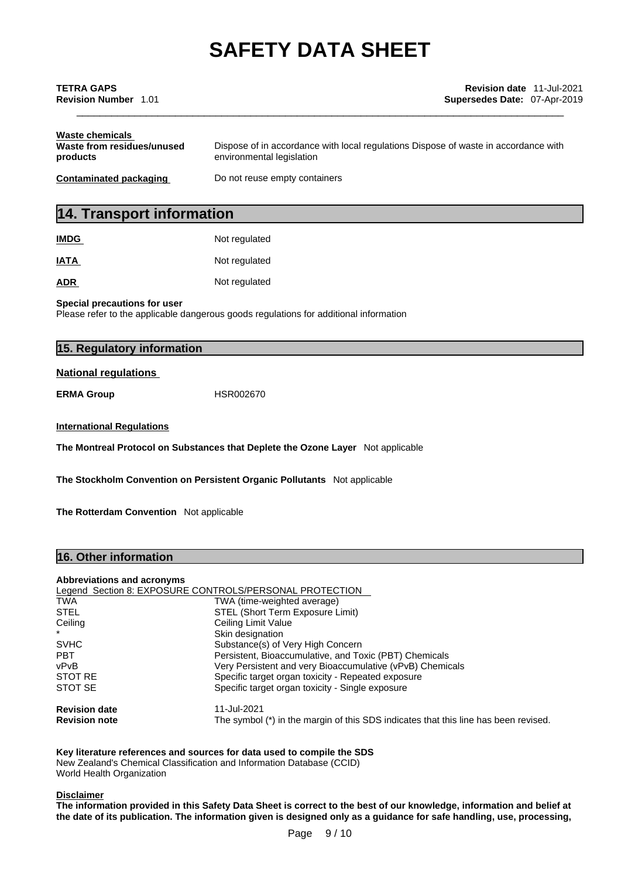| TETRA GAPS<br><b>Revision Number 1.01</b>                 | <b>Revision date 11-Jul-2021</b><br><b>Supersedes Date: 07-Apr-2019</b>                                          |  |
|-----------------------------------------------------------|------------------------------------------------------------------------------------------------------------------|--|
| Waste chemicals<br>Waste from residues/unused<br>products | Dispose of in accordance with local regulations Dispose of waste in accordance with<br>environmental legislation |  |
| Contaminated packaging                                    | Do not reuse empty containers                                                                                    |  |
|                                                           |                                                                                                                  |  |

# **14. Transport information**

| <b>IMDG</b> | Not regulated |
|-------------|---------------|
| <b>IATA</b> | Not regulated |
| <b>ADR</b>  | Not regulated |

**Special precautions for user**

Please refer to the applicable dangerous goods regulations for additional information

| 15. Regulatory information       |                                                                                 |  |
|----------------------------------|---------------------------------------------------------------------------------|--|
| <b>National regulations</b>      |                                                                                 |  |
| <b>ERMA Group</b>                | HSR002670                                                                       |  |
| <b>International Regulations</b> |                                                                                 |  |
|                                  | The Montreal Protocol on Substances that Deplete the Ozone Layer Not applicable |  |
|                                  | The Stockholm Convention on Persistent Organic Pollutants Not applicable        |  |

**The Rotterdam Convention** Not applicable

### **16. Other information**

#### **Abbreviations and acronyms**

|                      | Legend Section 8: EXPOSURE CONTROLS/PERSONAL PROTECTION                             |
|----------------------|-------------------------------------------------------------------------------------|
| <b>TWA</b>           | TWA (time-weighted average)                                                         |
| <b>STEL</b>          | STEL (Short Term Exposure Limit)                                                    |
| Ceiling              | Ceiling Limit Value                                                                 |
|                      | Skin designation                                                                    |
| <b>SVHC</b>          | Substance(s) of Very High Concern                                                   |
| <b>PBT</b>           | Persistent, Bioaccumulative, and Toxic (PBT) Chemicals                              |
| vPvB                 | Very Persistent and very Bioaccumulative (vPvB) Chemicals                           |
| STOT RE              | Specific target organ toxicity - Repeated exposure                                  |
| STOT SE              | Specific target organ toxicity - Single exposure                                    |
| <b>Revision date</b> | 11-Jul-2021                                                                         |
| <b>Revision note</b> | The symbol (*) in the margin of this SDS indicates that this line has been revised. |

**Key literature references and sources for data used to compile the SDS** New Zealand's Chemical Classification and Information Database (CCID) World Health Organization

#### **Disclaimer**

The information provided in this Safety Data Sheet is correct to the best of our knowledge, information and belief at the date of its publication. The information given is designed only as a guidance for safe handling, use, processing,